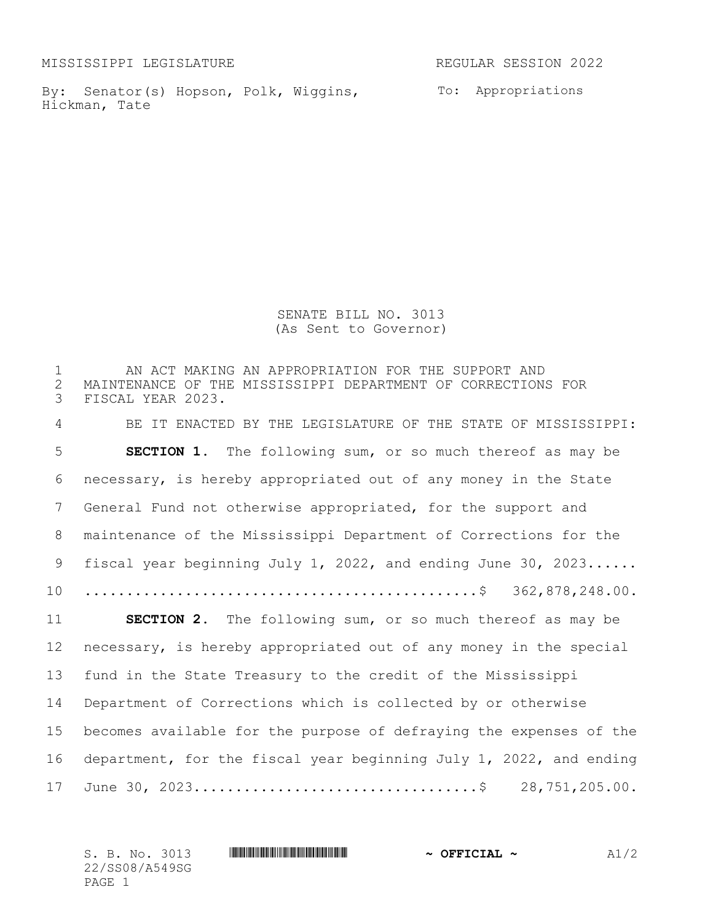MISSISSIPPI LEGISLATURE REGULAR SESSION 2022

By: Senator(s) Hopson, Polk, Wiggins, To: Appropriations Hickman, Tate

SENATE BILL NO. 3013 (As Sent to Governor)

1 THE AN ACT MAKING AN APPROPRIATION FOR THE SUPPORT AND<br>2 MAINTENANCE OF THE MISSISSIPPI DEPARTMENT OF CORRECTION: 2 MAINTENANCE OF THE MISSISSIPPI DEPARTMENT OF CORRECTIONS FOR<br>3 FISCAL YEAR 2023. FISCAL YEAR 2023. BE IT ENACTED BY THE LEGISLATURE OF THE STATE OF MISSISSIPPI: **SECTION 1.** The following sum, or so much thereof as may be necessary, is hereby appropriated out of any money in the State General Fund not otherwise appropriated, for the support and maintenance of the Mississippi Department of Corrections for the 9 fiscal year beginning July 1, 2022, and ending June 30, 2023...... ...............................................\$ 362,878,248.00. **SECTION 2.** The following sum, or so much thereof as may be necessary, is hereby appropriated out of any money in the special fund in the State Treasury to the credit of the Mississippi Department of Corrections which is collected by or otherwise becomes available for the purpose of defraying the expenses of the department, for the fiscal year beginning July 1, 2022, and ending June 30, 2023..................................\$ 28,751,205.00.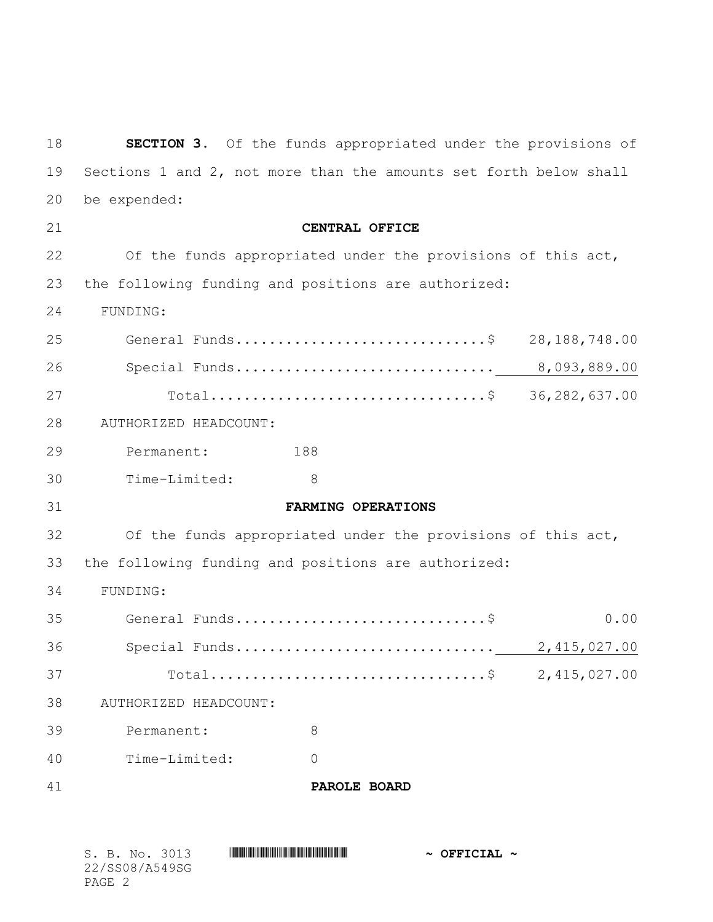| 18 | SECTION 3. Of the funds appropriated under the provisions of      |  |  |
|----|-------------------------------------------------------------------|--|--|
| 19 | Sections 1 and 2, not more than the amounts set forth below shall |  |  |
| 20 | be expended:                                                      |  |  |
| 21 | CENTRAL OFFICE                                                    |  |  |
| 22 | Of the funds appropriated under the provisions of this act,       |  |  |
| 23 | the following funding and positions are authorized:               |  |  |
| 24 | FUNDING:                                                          |  |  |
| 25 | 28, 188, 748.00                                                   |  |  |
| 26 |                                                                   |  |  |
| 27 | 36, 282, 637.00                                                   |  |  |
| 28 | AUTHORIZED HEADCOUNT:                                             |  |  |
| 29 | Permanent:<br>188                                                 |  |  |
| 30 | Time-Limited:<br>8                                                |  |  |
| 31 | FARMING OPERATIONS                                                |  |  |
| 32 | Of the funds appropriated under the provisions of this act,       |  |  |
| 33 | the following funding and positions are authorized:               |  |  |
| 34 | FUNDING:                                                          |  |  |
| 35 | General Funds\$<br>0.00                                           |  |  |
| 36 | Special Funds<br>2,415,027.00                                     |  |  |
| 37 | Total\$ 2,415,027.00                                              |  |  |
| 38 | AUTHORIZED HEADCOUNT:                                             |  |  |
| 39 | 8<br>Permanent:                                                   |  |  |
| 40 | Time-Limited:<br>$\Omega$                                         |  |  |
| 41 | PAROLE BOARD                                                      |  |  |
|    |                                                                   |  |  |

| S. B. No. 3013 |  | $\sim$ OFFICIAL $\sim$ |
|----------------|--|------------------------|
| 22/SS08/A549SG |  |                        |
| PAGE 2         |  |                        |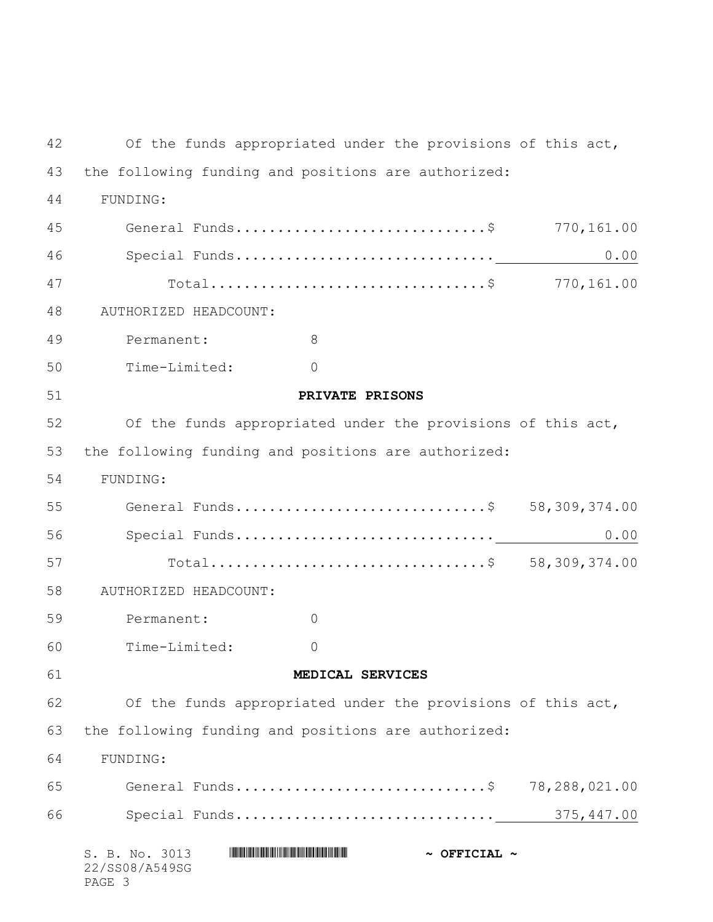S. B. No. 3013 \*SS08/A549SG\* **~ OFFICIAL ~** 22/SS08/A549SG PAGE 3 Of the funds appropriated under the provisions of this act, the following funding and positions are authorized: 44 FUNDING: General Funds..............................\$ 770,161.00 Special Funds............................... 0.00 Total.................................\$ 770,161.00 48 AUTHORIZED HEADCOUNT: Permanent: 8 Time-Limited: 0 **PRIVATE PRISONS** Of the funds appropriated under the provisions of this act, the following funding and positions are authorized: 54 FUNDING: General Funds..............................\$ 58,309,374.00 Special Funds............................... 0.00 Total.................................\$ 58,309,374.00 58 AUTHORIZED HEADCOUNT: Permanent: 0 Time-Limited: 0 **MEDICAL SERVICES** Of the funds appropriated under the provisions of this act, the following funding and positions are authorized: 64 FUNDING: General Funds..............................\$ 78,288,021.00 Special Funds............................... 375,447.00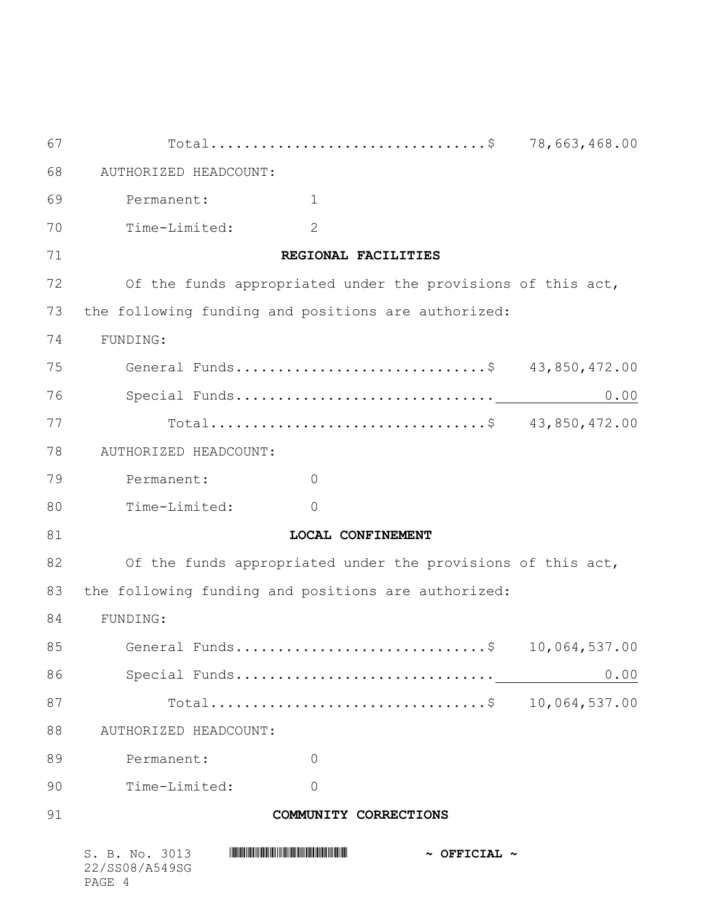| 67 | Total\$ 78,663,468.00                                                                                                                                    |
|----|----------------------------------------------------------------------------------------------------------------------------------------------------------|
| 68 | AUTHORIZED HEADCOUNT:                                                                                                                                    |
| 69 | Permanent:<br>$\mathbf 1$                                                                                                                                |
| 70 | $\overline{2}$<br>Time-Limited:                                                                                                                          |
| 71 | REGIONAL FACILITIES                                                                                                                                      |
| 72 | Of the funds appropriated under the provisions of this act,                                                                                              |
| 73 | the following funding and positions are authorized:                                                                                                      |
| 74 | FUNDING:                                                                                                                                                 |
| 75 | General Funds\$ 43,850,472.00                                                                                                                            |
| 76 | 0.00                                                                                                                                                     |
| 77 | Total\$ 43,850,472.00                                                                                                                                    |
| 78 | AUTHORIZED HEADCOUNT:                                                                                                                                    |
| 79 | Permanent:<br>$\overline{0}$                                                                                                                             |
| 80 | Time-Limited:<br>$\overline{0}$                                                                                                                          |
| 81 | LOCAL CONFINEMENT                                                                                                                                        |
| 82 | Of the funds appropriated under the provisions of this act,                                                                                              |
| 83 | the following funding and positions are authorized:                                                                                                      |
| 84 | FUNDING:                                                                                                                                                 |
| 85 | General Funds\$ 10,064,537.00                                                                                                                            |
| 86 | Special Funds<br>0.00                                                                                                                                    |
| 87 | 10,064,537.00                                                                                                                                            |
| 88 | AUTHORIZED HEADCOUNT:                                                                                                                                    |
| 89 | $\overline{0}$<br>Permanent:                                                                                                                             |
| 90 | Time-Limited:<br>$\circ$                                                                                                                                 |
| 91 | COMMUNITY CORRECTIONS                                                                                                                                    |
|    | <u> I TERRITEIR IN DER TIL BELGI I DEN TILL DEN DEN BILDE DELE DELEGATION DEN DEN DER </u><br>S. B. No. 3013<br>$\sim$ OFFICIAL $\sim$<br>22/SS08/A549SG |

PAGE 4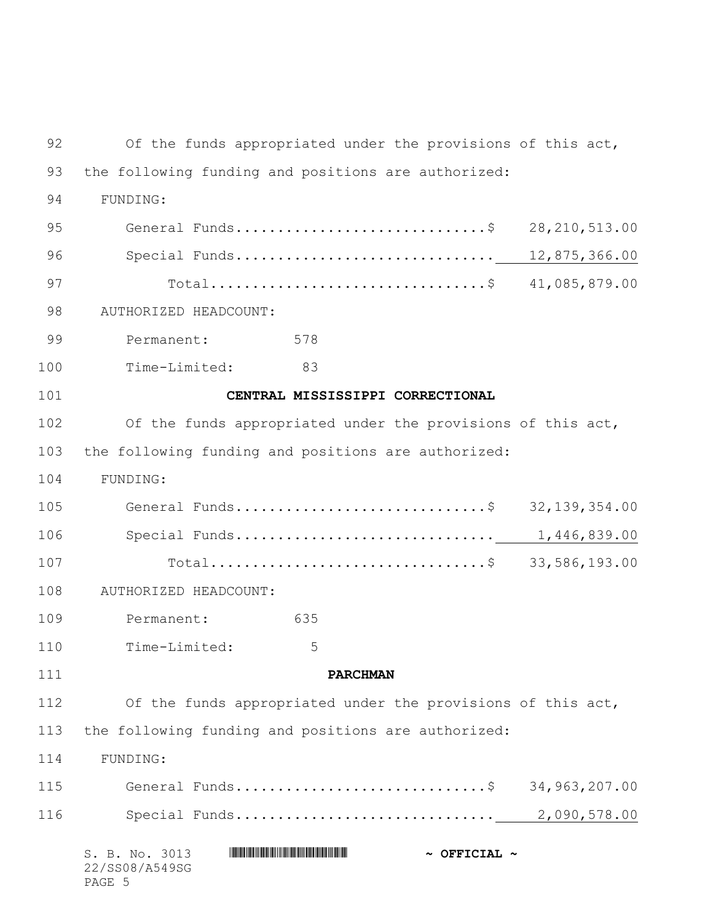| 92  | Of the funds appropriated under the provisions of this act,          |  |  |
|-----|----------------------------------------------------------------------|--|--|
| 93  | the following funding and positions are authorized:                  |  |  |
| 94  | FUNDING:                                                             |  |  |
| 95  | 28, 210, 513.00                                                      |  |  |
| 96  |                                                                      |  |  |
| 97  | Total\$ 41,085,879.00                                                |  |  |
| 98  | AUTHORIZED HEADCOUNT:                                                |  |  |
| 99  | 578<br>Permanent:                                                    |  |  |
| 100 | Time-Limited:<br>83                                                  |  |  |
| 101 | CENTRAL MISSISSIPPI CORRECTIONAL                                     |  |  |
| 102 | Of the funds appropriated under the provisions of this act,          |  |  |
| 103 | the following funding and positions are authorized:                  |  |  |
| 104 | FUNDING:                                                             |  |  |
| 105 | General Funds\$ 32,139,354.00                                        |  |  |
| 106 |                                                                      |  |  |
| 107 | Total\$ 33,586,193.00                                                |  |  |
| 108 | AUTHORIZED HEADCOUNT:                                                |  |  |
| 109 | 635<br>Permanent:                                                    |  |  |
| 110 | 5<br>Time-Limited:                                                   |  |  |
| 111 | <b>PARCHMAN</b>                                                      |  |  |
| 112 | Of the funds appropriated under the provisions of this act,          |  |  |
| 113 | the following funding and positions are authorized:                  |  |  |
| 114 | FUNDING:                                                             |  |  |
| 115 | General Funds\$ 34,963,207.00                                        |  |  |
| 116 |                                                                      |  |  |
|     | S. B. No. 3013<br>$\sim$ OFFICIAL $\sim$<br>22/SS08/A549SG<br>PAGE 5 |  |  |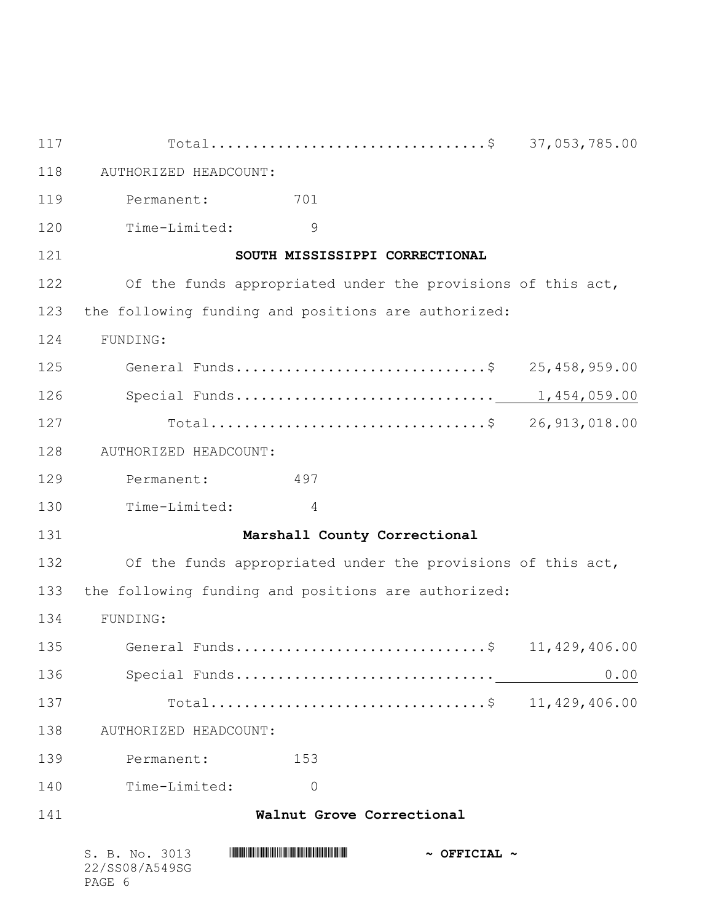| 117 | Total\$ 37,053,785.00                                       |
|-----|-------------------------------------------------------------|
| 118 | AUTHORIZED HEADCOUNT:                                       |
| 119 | 701<br>Permanent:                                           |
| 120 | Time-Limited:<br>9                                          |
| 121 | SOUTH MISSISSIPPI CORRECTIONAL                              |
| 122 | Of the funds appropriated under the provisions of this act, |
| 123 | the following funding and positions are authorized:         |
| 124 | FUNDING:                                                    |
| 125 | General Funds\$ 25,458,959.00                               |
| 126 |                                                             |
| 127 | Total\$ 26,913,018.00                                       |
| 128 | AUTHORIZED HEADCOUNT:                                       |
| 129 | 497<br>Permanent:                                           |
| 130 | Time-Limited:<br>4                                          |
| 131 | Marshall County Correctional                                |
| 132 | Of the funds appropriated under the provisions of this act, |
| 133 | the following funding and positions are authorized:         |
| 134 | FUNDING:                                                    |
| 135 | General Funds\$ 11,429,406.00                               |
| 136 | Special Funds<br>0.00                                       |
| 137 | 11, 429, 406.00                                             |
| 138 | AUTHORIZED HEADCOUNT:                                       |
| 139 | 153<br>Permanent:                                           |
| 140 | Time-Limited:<br>$\mathbf 0$                                |
| 141 | Walnut Grove Correctional                                   |
|     | S. B. No. 3013<br>$\sim$ OFFICIAL $\sim$<br>22/SS08/A549SG  |

PAGE 6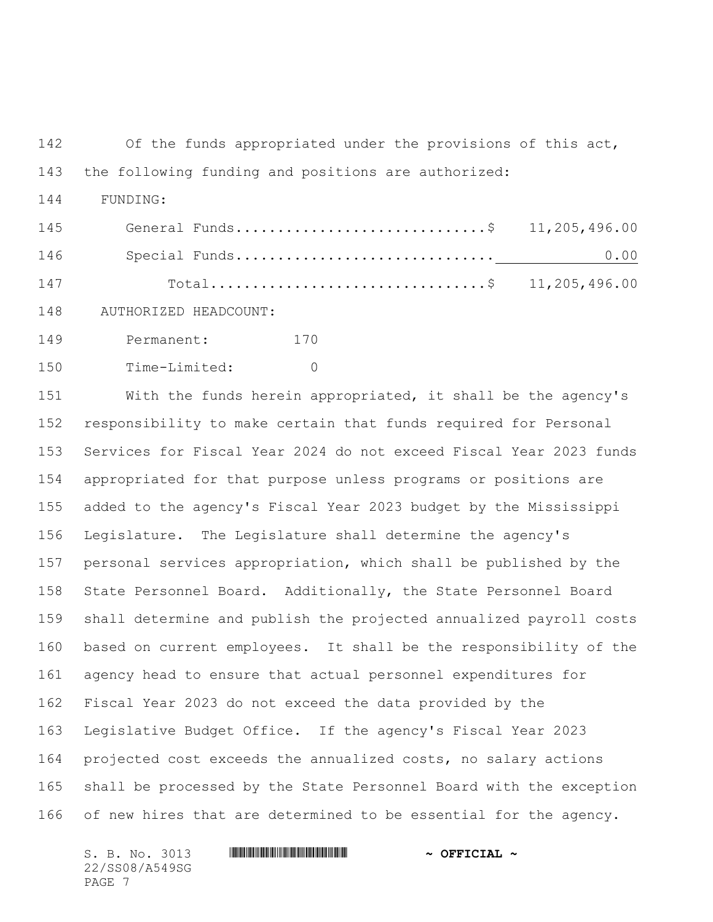142 Of the funds appropriated under the provisions of this act,

the following funding and positions are authorized:

144 FUNDING:

 General Funds..............................\$ 11,205,496.00 Special Funds............................... 0.00 Total.................................\$ 11,205,496.00

148 AUTHORIZED HEADCOUNT:

Permanent: 170

Time-Limited: 0

 With the funds herein appropriated, it shall be the agency's responsibility to make certain that funds required for Personal Services for Fiscal Year 2024 do not exceed Fiscal Year 2023 funds appropriated for that purpose unless programs or positions are added to the agency's Fiscal Year 2023 budget by the Mississippi Legislature. The Legislature shall determine the agency's personal services appropriation, which shall be published by the State Personnel Board. Additionally, the State Personnel Board shall determine and publish the projected annualized payroll costs based on current employees. It shall be the responsibility of the agency head to ensure that actual personnel expenditures for Fiscal Year 2023 do not exceed the data provided by the Legislative Budget Office. If the agency's Fiscal Year 2023 projected cost exceeds the annualized costs, no salary actions shall be processed by the State Personnel Board with the exception of new hires that are determined to be essential for the agency.

22/SS08/A549SG PAGE 7

## S. B. No. 3013 \*SS08/A549SG\* **~ OFFICIAL ~**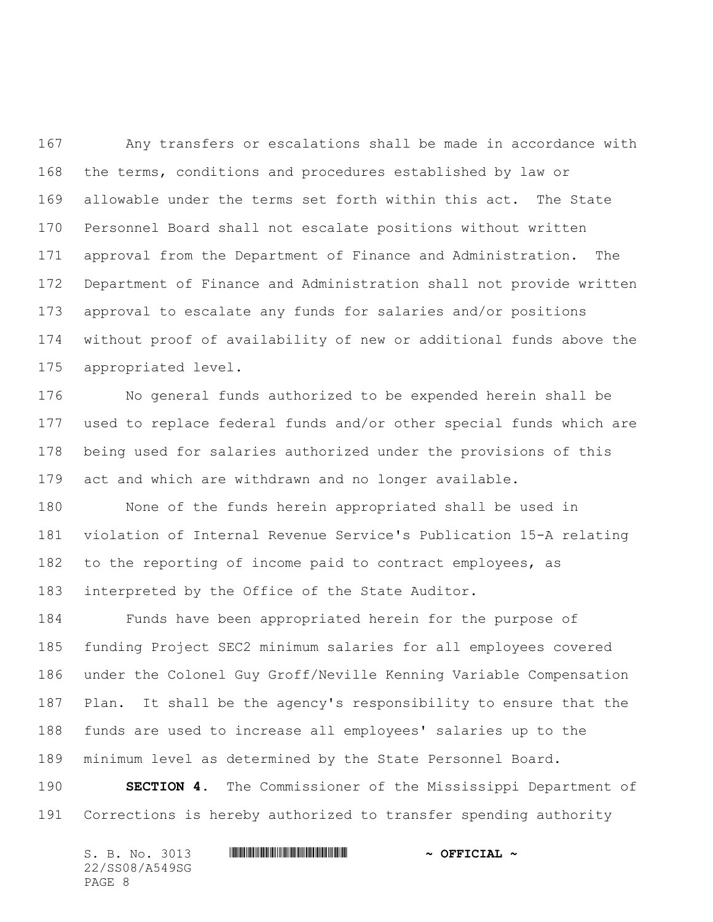Any transfers or escalations shall be made in accordance with the terms, conditions and procedures established by law or allowable under the terms set forth within this act. The State Personnel Board shall not escalate positions without written approval from the Department of Finance and Administration. The Department of Finance and Administration shall not provide written approval to escalate any funds for salaries and/or positions without proof of availability of new or additional funds above the appropriated level.

 No general funds authorized to be expended herein shall be used to replace federal funds and/or other special funds which are being used for salaries authorized under the provisions of this act and which are withdrawn and no longer available.

 None of the funds herein appropriated shall be used in violation of Internal Revenue Service's Publication 15-A relating to the reporting of income paid to contract employees, as interpreted by the Office of the State Auditor.

 Funds have been appropriated herein for the purpose of funding Project SEC2 minimum salaries for all employees covered under the Colonel Guy Groff/Neville Kenning Variable Compensation Plan. It shall be the agency's responsibility to ensure that the funds are used to increase all employees' salaries up to the minimum level as determined by the State Personnel Board.

 **SECTION 4.** The Commissioner of the Mississippi Department of Corrections is hereby authorized to transfer spending authority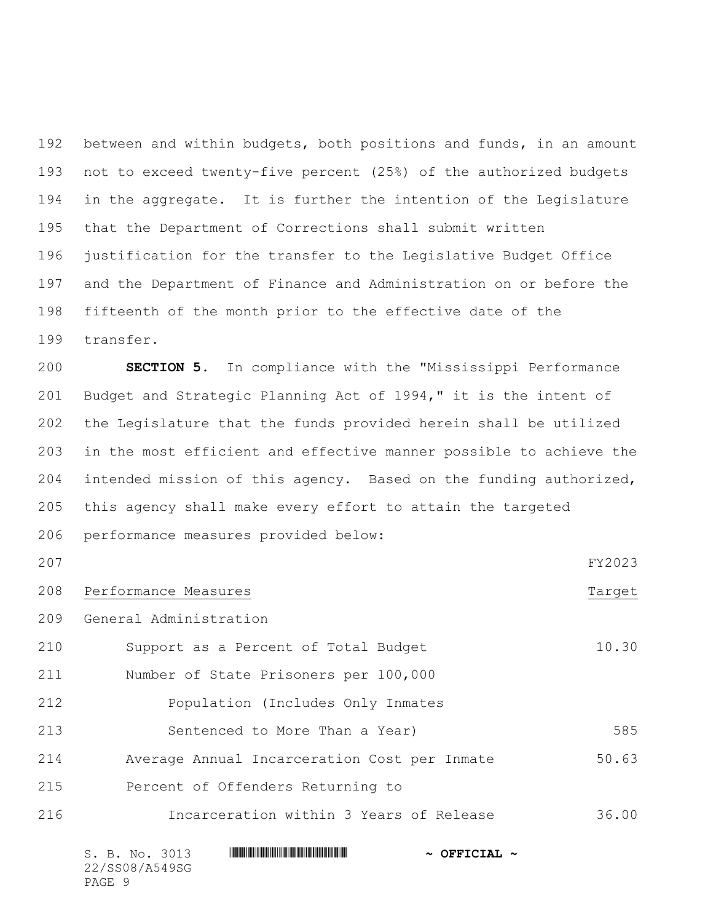between and within budgets, both positions and funds, in an amount not to exceed twenty-five percent (25%) of the authorized budgets in the aggregate. It is further the intention of the Legislature that the Department of Corrections shall submit written justification for the transfer to the Legislative Budget Office and the Department of Finance and Administration on or before the fifteenth of the month prior to the effective date of the transfer.

 **SECTION 5.** In compliance with the "Mississippi Performance Budget and Strategic Planning Act of 1994," it is the intent of the Legislature that the funds provided herein shall be utilized in the most efficient and effective manner possible to achieve the intended mission of this agency. Based on the funding authorized, this agency shall make every effort to attain the targeted performance measures provided below:

 FY2023 208 Performance Measures Target and the extension of the extension of the extension of the extension of the extension of the extension of the extension of the extension of the extension of the extension of the extension of General Administration 210 Support as a Percent of Total Budget 10.30 Number of State Prisoners per 100,000 Population (Includes Only Inmates 213 Sentenced to More Than a Year) 585 Average Annual Incarceration Cost per Inmate 50.63 Percent of Offenders Returning to Incarceration within 3 Years of Release 36.00

```
S. B. No. 3013 *SS08/A549SG* ~ OFFICIAL ~
22/SS08/A549SG
PAGE 9
```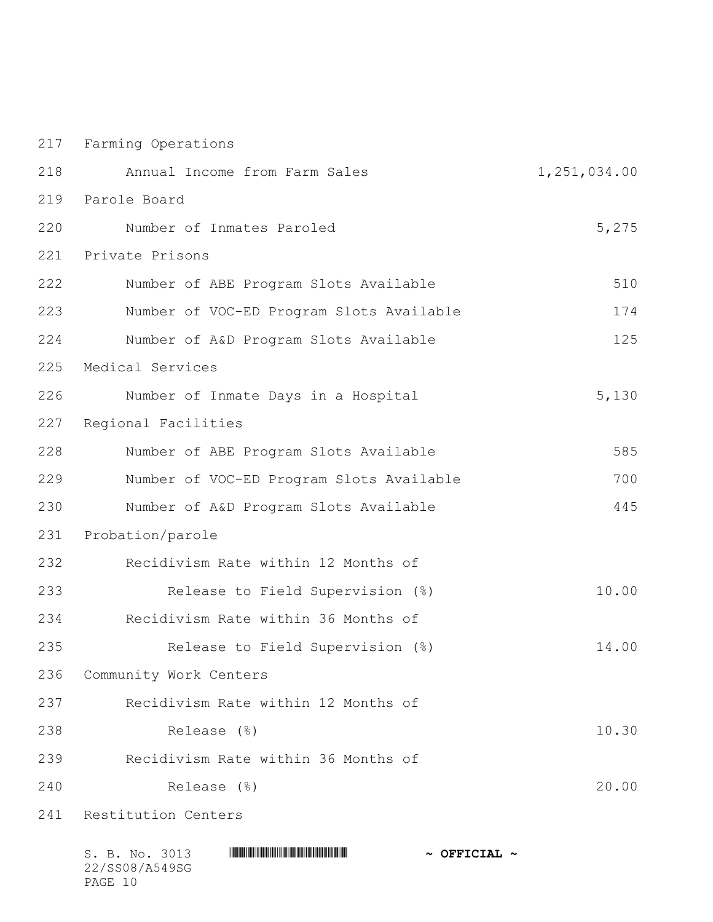Farming Operations 218 Annual Income from Farm Sales 1,251,034.00 Parole Board 220 Number of Inmates Paroled 5,275 Private Prisons 222 Number of ABE Program Slots Available 510 Number of VOC-ED Program Slots Available 174 Number of A&D Program Slots Available 125 Medical Services Number of Inmate Days in a Hospital 5,130 Regional Facilities 228 Number of ABE Program Slots Available 585 Number of VOC-ED Program Slots Available 700 Number of A&D Program Slots Available 445 Probation/parole Recidivism Rate within 12 Months of Release to Field Supervision (%) 10.00 Recidivism Rate within 36 Months of Release to Field Supervision (%) 14.00 Community Work Centers Recidivism Rate within 12 Months of Release (%) 10.30 Recidivism Rate within 36 Months of Release (%) 20.00 Restitution Centers

| S. B. No. 3013 | $\sim$ OFFICIAL $\sim$ |
|----------------|------------------------|
| 22/SS08/A549SG |                        |
| PAGE 10        |                        |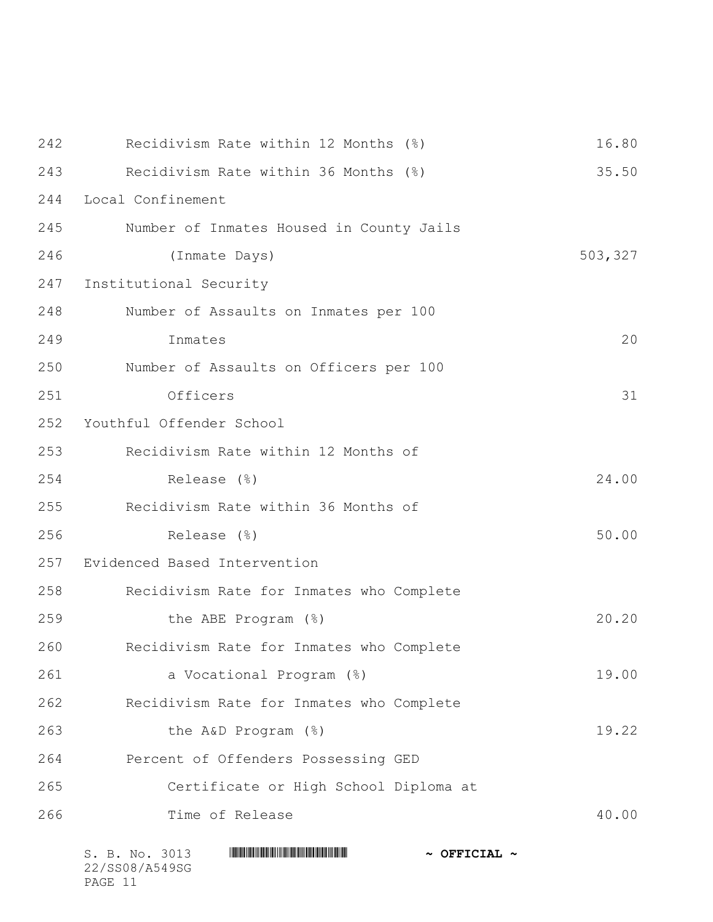| 242 | Recidivism Rate within 12 Months (%)                       | 16.80   |
|-----|------------------------------------------------------------|---------|
| 243 | Recidivism Rate within 36 Months (%)                       | 35.50   |
| 244 | Local Confinement                                          |         |
| 245 | Number of Inmates Housed in County Jails                   |         |
| 246 | (Inmate Days)                                              | 503,327 |
| 247 | Institutional Security                                     |         |
| 248 | Number of Assaults on Inmates per 100                      |         |
| 249 | Inmates                                                    | 20      |
| 250 | Number of Assaults on Officers per 100                     |         |
| 251 | Officers                                                   | 31      |
| 252 | Youthful Offender School                                   |         |
| 253 | Recidivism Rate within 12 Months of                        |         |
| 254 | Release (%)                                                | 24.00   |
| 255 | Recidivism Rate within 36 Months of                        |         |
| 256 | Release (%)                                                | 50.00   |
| 257 | Evidenced Based Intervention                               |         |
| 258 | Recidivism Rate for Inmates who Complete                   |         |
| 259 | the ABE Program (%)                                        | 20.20   |
| 260 | Recidivism Rate for Inmates who Complete                   |         |
| 261 | a Vocational Program (%)                                   | 19.00   |
| 262 | Recidivism Rate for Inmates who Complete                   |         |
| 263 | the A&D Program (%)                                        | 19.22   |
| 264 | Percent of Offenders Possessing GED                        |         |
| 265 | Certificate or High School Diploma at                      |         |
| 266 | Time of Release                                            | 40.00   |
|     | S. B. No. 3013<br>$\sim$ OFFICIAL $\sim$<br>22/SS08/A549SG |         |

PAGE 11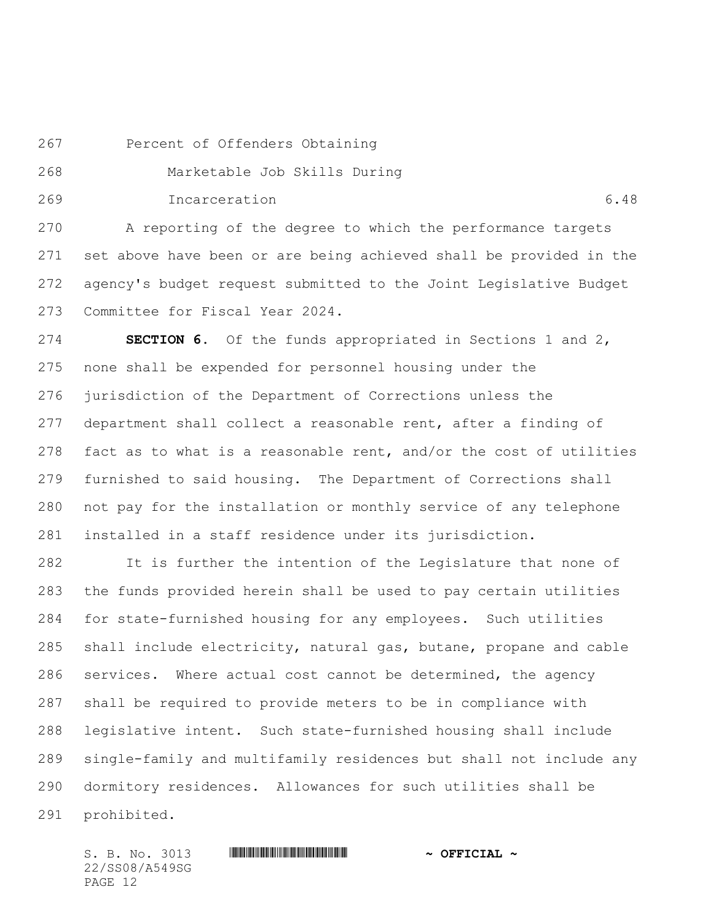- 
- Percent of Offenders Obtaining

- Marketable Job Skills During
- Incarceration 6.48

 A reporting of the degree to which the performance targets set above have been or are being achieved shall be provided in the agency's budget request submitted to the Joint Legislative Budget Committee for Fiscal Year 2024.

 **SECTION 6.** Of the funds appropriated in Sections 1 and 2, none shall be expended for personnel housing under the jurisdiction of the Department of Corrections unless the department shall collect a reasonable rent, after a finding of fact as to what is a reasonable rent, and/or the cost of utilities furnished to said housing. The Department of Corrections shall not pay for the installation or monthly service of any telephone installed in a staff residence under its jurisdiction.

 It is further the intention of the Legislature that none of the funds provided herein shall be used to pay certain utilities for state-furnished housing for any employees. Such utilities shall include electricity, natural gas, butane, propane and cable services. Where actual cost cannot be determined, the agency shall be required to provide meters to be in compliance with legislative intent. Such state-furnished housing shall include single-family and multifamily residences but shall not include any dormitory residences. Allowances for such utilities shall be prohibited.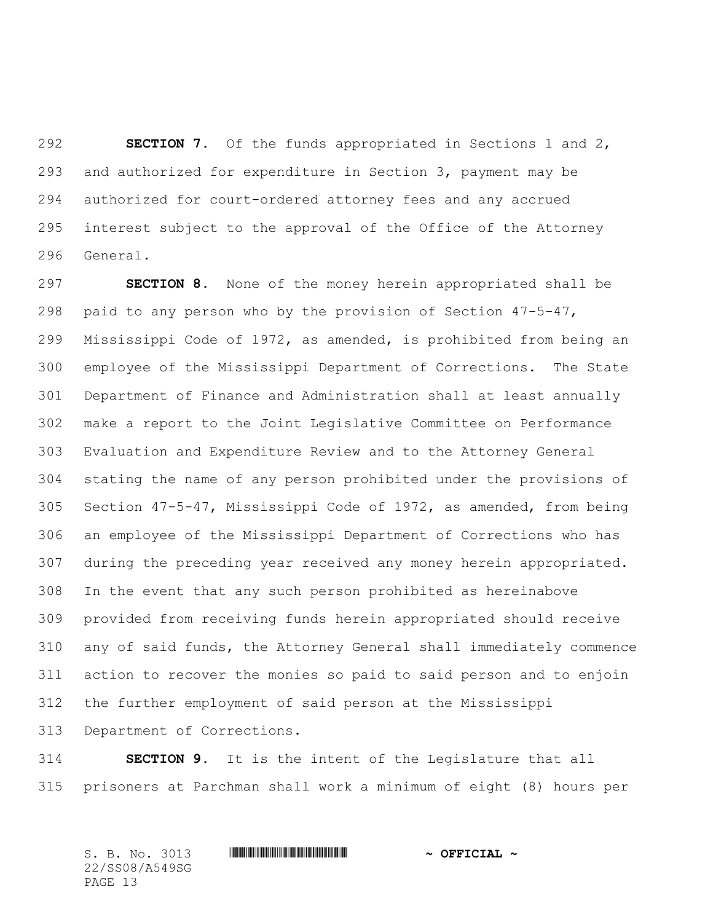**SECTION 7.** Of the funds appropriated in Sections 1 and 2, and authorized for expenditure in Section 3, payment may be authorized for court-ordered attorney fees and any accrued interest subject to the approval of the Office of the Attorney General.

 **SECTION 8.** None of the money herein appropriated shall be paid to any person who by the provision of Section 47-5-47, Mississippi Code of 1972, as amended, is prohibited from being an employee of the Mississippi Department of Corrections. The State Department of Finance and Administration shall at least annually make a report to the Joint Legislative Committee on Performance Evaluation and Expenditure Review and to the Attorney General stating the name of any person prohibited under the provisions of Section 47-5-47, Mississippi Code of 1972, as amended, from being an employee of the Mississippi Department of Corrections who has during the preceding year received any money herein appropriated. In the event that any such person prohibited as hereinabove provided from receiving funds herein appropriated should receive any of said funds, the Attorney General shall immediately commence action to recover the monies so paid to said person and to enjoin the further employment of said person at the Mississippi Department of Corrections.

 **SECTION 9.** It is the intent of the Legislature that all prisoners at Parchman shall work a minimum of eight (8) hours per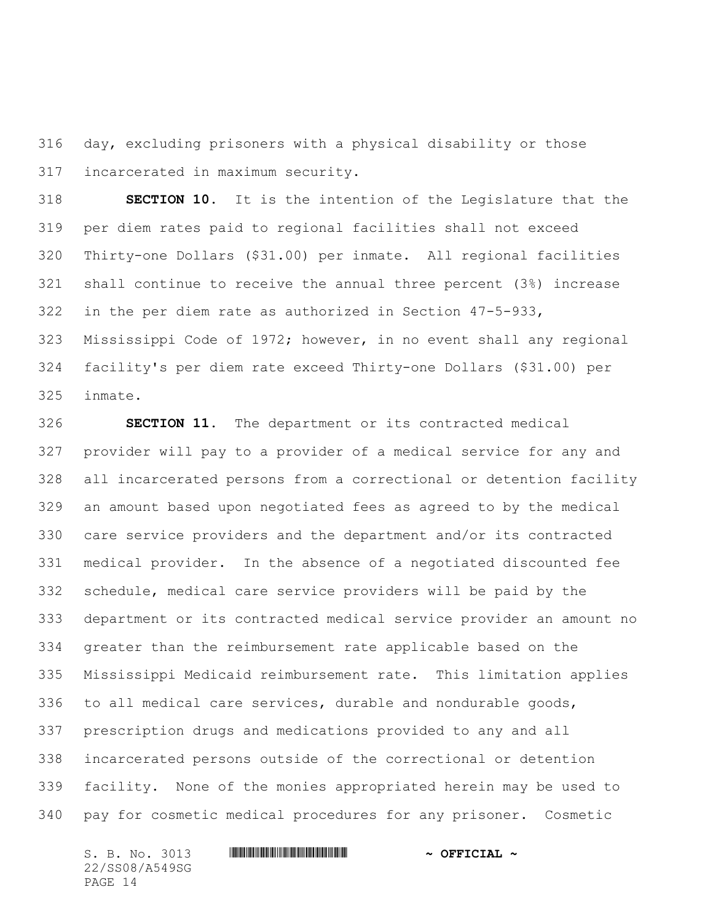day, excluding prisoners with a physical disability or those incarcerated in maximum security.

 **SECTION 10.** It is the intention of the Legislature that the per diem rates paid to regional facilities shall not exceed Thirty-one Dollars (\$31.00) per inmate. All regional facilities shall continue to receive the annual three percent (3%) increase in the per diem rate as authorized in Section 47-5-933, Mississippi Code of 1972; however, in no event shall any regional facility's per diem rate exceed Thirty-one Dollars (\$31.00) per inmate.

 **SECTION 11.** The department or its contracted medical provider will pay to a provider of a medical service for any and all incarcerated persons from a correctional or detention facility an amount based upon negotiated fees as agreed to by the medical care service providers and the department and/or its contracted medical provider. In the absence of a negotiated discounted fee schedule, medical care service providers will be paid by the department or its contracted medical service provider an amount no greater than the reimbursement rate applicable based on the Mississippi Medicaid reimbursement rate. This limitation applies to all medical care services, durable and nondurable goods, prescription drugs and medications provided to any and all incarcerated persons outside of the correctional or detention facility. None of the monies appropriated herein may be used to pay for cosmetic medical procedures for any prisoner. Cosmetic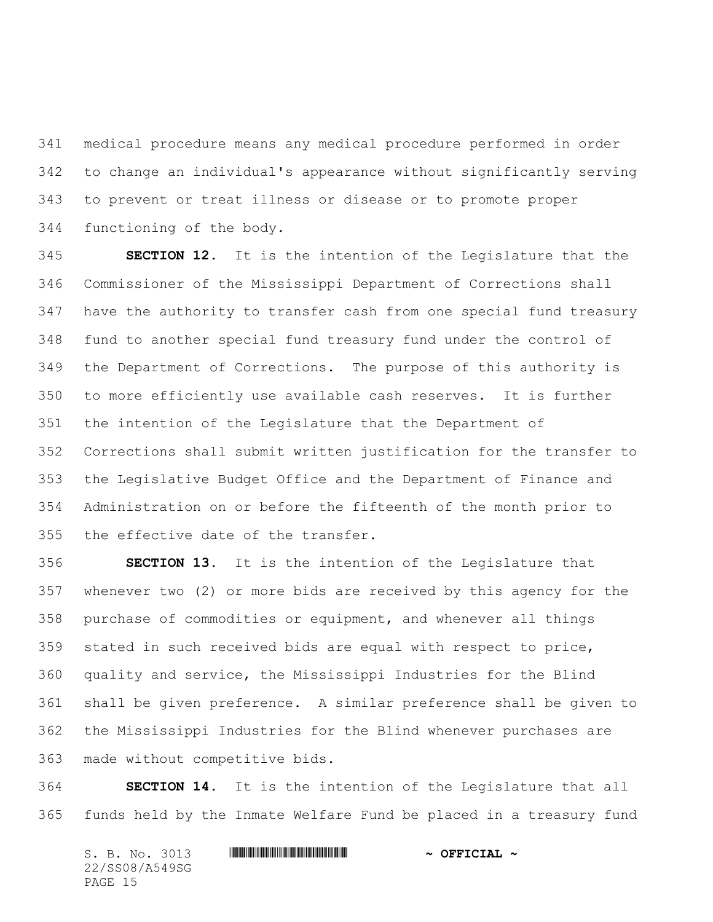medical procedure means any medical procedure performed in order to change an individual's appearance without significantly serving to prevent or treat illness or disease or to promote proper functioning of the body.

 **SECTION 12.** It is the intention of the Legislature that the Commissioner of the Mississippi Department of Corrections shall have the authority to transfer cash from one special fund treasury fund to another special fund treasury fund under the control of the Department of Corrections. The purpose of this authority is to more efficiently use available cash reserves. It is further the intention of the Legislature that the Department of Corrections shall submit written justification for the transfer to the Legislative Budget Office and the Department of Finance and Administration on or before the fifteenth of the month prior to the effective date of the transfer.

 **SECTION 13.** It is the intention of the Legislature that whenever two (2) or more bids are received by this agency for the purchase of commodities or equipment, and whenever all things stated in such received bids are equal with respect to price, quality and service, the Mississippi Industries for the Blind shall be given preference. A similar preference shall be given to the Mississippi Industries for the Blind whenever purchases are made without competitive bids.

 **SECTION 14.** It is the intention of the Legislature that all funds held by the Inmate Welfare Fund be placed in a treasury fund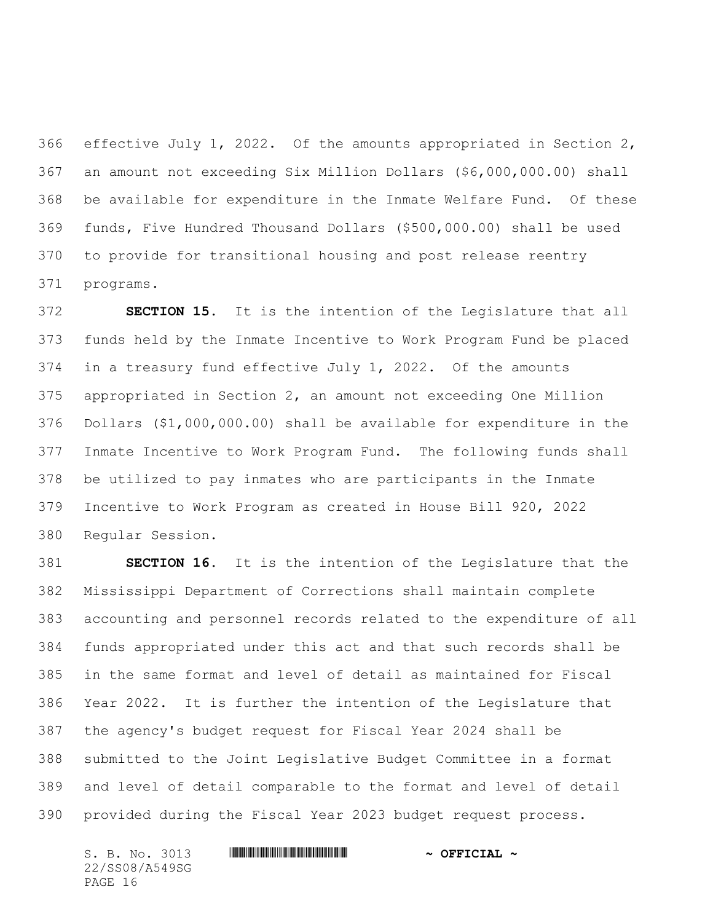effective July 1, 2022. Of the amounts appropriated in Section 2, an amount not exceeding Six Million Dollars (\$6,000,000.00) shall be available for expenditure in the Inmate Welfare Fund. Of these funds, Five Hundred Thousand Dollars (\$500,000.00) shall be used to provide for transitional housing and post release reentry programs.

 **SECTION 15.** It is the intention of the Legislature that all funds held by the Inmate Incentive to Work Program Fund be placed in a treasury fund effective July 1, 2022. Of the amounts appropriated in Section 2, an amount not exceeding One Million Dollars (\$1,000,000.00) shall be available for expenditure in the Inmate Incentive to Work Program Fund. The following funds shall be utilized to pay inmates who are participants in the Inmate Incentive to Work Program as created in House Bill 920, 2022 Regular Session.

 **SECTION 16.** It is the intention of the Legislature that the Mississippi Department of Corrections shall maintain complete accounting and personnel records related to the expenditure of all funds appropriated under this act and that such records shall be in the same format and level of detail as maintained for Fiscal Year 2022. It is further the intention of the Legislature that the agency's budget request for Fiscal Year 2024 shall be submitted to the Joint Legislative Budget Committee in a format and level of detail comparable to the format and level of detail provided during the Fiscal Year 2023 budget request process.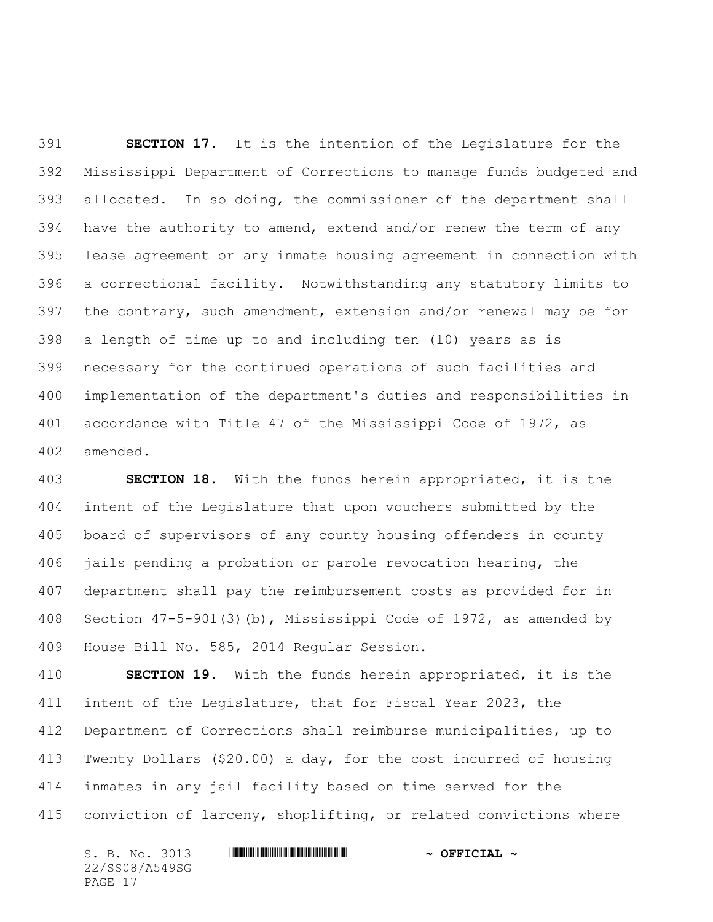**SECTION 17.** It is the intention of the Legislature for the Mississippi Department of Corrections to manage funds budgeted and allocated. In so doing, the commissioner of the department shall have the authority to amend, extend and/or renew the term of any lease agreement or any inmate housing agreement in connection with a correctional facility. Notwithstanding any statutory limits to the contrary, such amendment, extension and/or renewal may be for a length of time up to and including ten (10) years as is necessary for the continued operations of such facilities and implementation of the department's duties and responsibilities in accordance with Title 47 of the Mississippi Code of 1972, as amended.

 **SECTION 18.** With the funds herein appropriated, it is the intent of the Legislature that upon vouchers submitted by the board of supervisors of any county housing offenders in county jails pending a probation or parole revocation hearing, the department shall pay the reimbursement costs as provided for in Section 47-5-901(3)(b), Mississippi Code of 1972, as amended by House Bill No. 585, 2014 Regular Session.

 **SECTION 19.** With the funds herein appropriated, it is the intent of the Legislature, that for Fiscal Year 2023, the Department of Corrections shall reimburse municipalities, up to Twenty Dollars (\$20.00) a day, for the cost incurred of housing inmates in any jail facility based on time served for the conviction of larceny, shoplifting, or related convictions where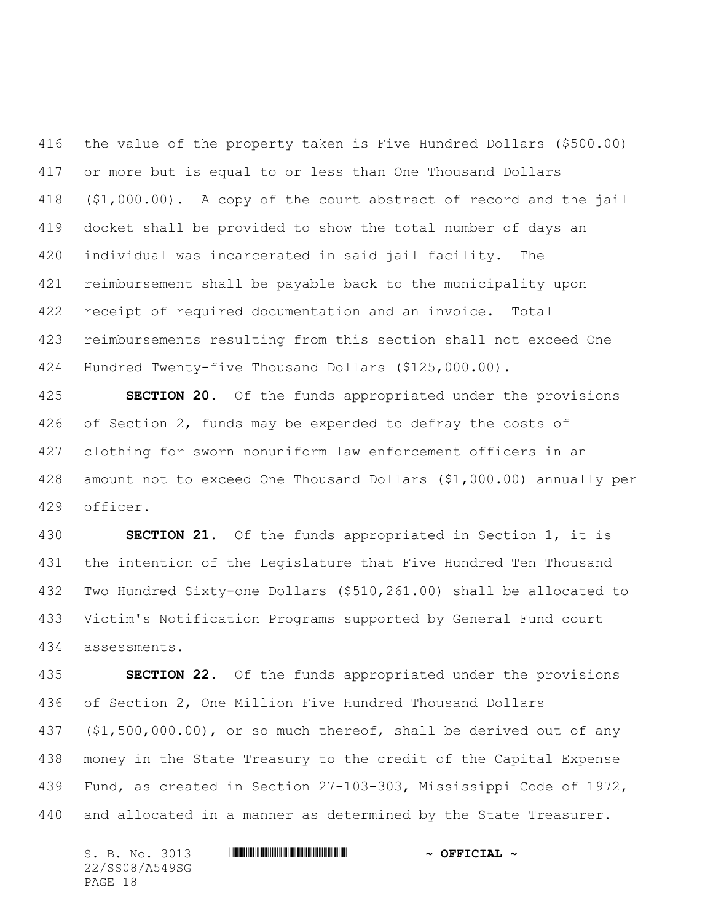the value of the property taken is Five Hundred Dollars (\$500.00) or more but is equal to or less than One Thousand Dollars (\$1,000.00). A copy of the court abstract of record and the jail docket shall be provided to show the total number of days an individual was incarcerated in said jail facility. The reimbursement shall be payable back to the municipality upon receipt of required documentation and an invoice. Total reimbursements resulting from this section shall not exceed One Hundred Twenty-five Thousand Dollars (\$125,000.00).

 **SECTION 20.** Of the funds appropriated under the provisions 426 of Section 2, funds may be expended to defray the costs of clothing for sworn nonuniform law enforcement officers in an amount not to exceed One Thousand Dollars (\$1,000.00) annually per officer.

 **SECTION 21.** Of the funds appropriated in Section 1, it is the intention of the Legislature that Five Hundred Ten Thousand Two Hundred Sixty-one Dollars (\$510,261.00) shall be allocated to Victim's Notification Programs supported by General Fund court assessments.

 **SECTION 22.** Of the funds appropriated under the provisions of Section 2, One Million Five Hundred Thousand Dollars (\$1,500,000.00), or so much thereof, shall be derived out of any money in the State Treasury to the credit of the Capital Expense Fund, as created in Section 27-103-303, Mississippi Code of 1972, and allocated in a manner as determined by the State Treasurer.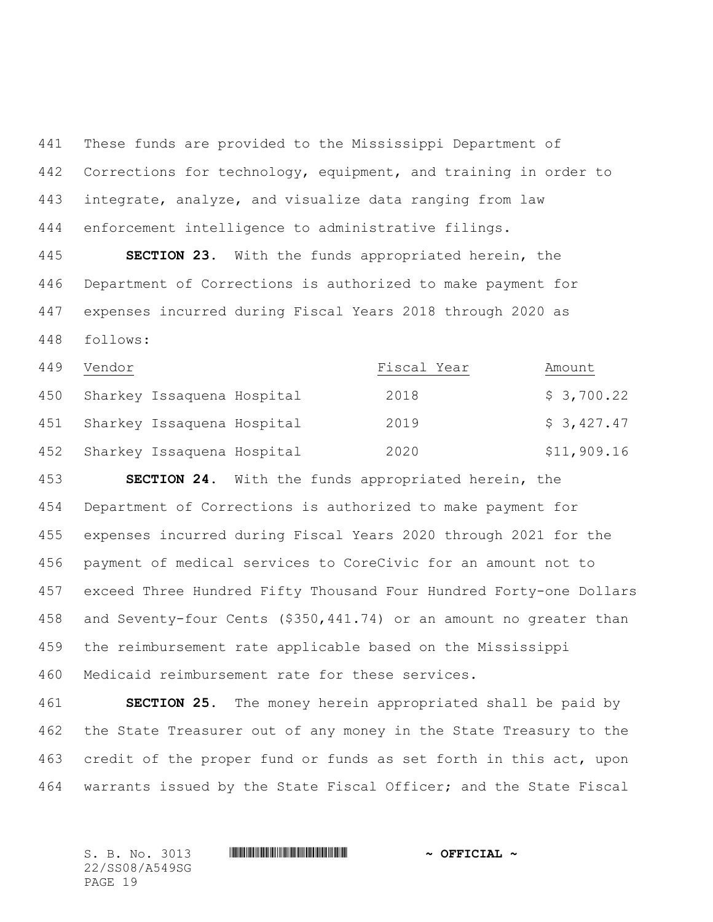These funds are provided to the Mississippi Department of Corrections for technology, equipment, and training in order to integrate, analyze, and visualize data ranging from law enforcement intelligence to administrative filings.

 **SECTION 23.** With the funds appropriated herein, the Department of Corrections is authorized to make payment for expenses incurred during Fiscal Years 2018 through 2020 as follows:

| 449 | Vendor                         | Fiscal Year | Amount      |
|-----|--------------------------------|-------------|-------------|
|     | 450 Sharkey Issaquena Hospital | 2018        | \$3,700.22  |
|     | 451 Sharkey Issaquena Hospital | 2019        | \$3,427.47  |
| 452 | Sharkey Issaquena Hospital     | 2020        | \$11,909.16 |

 **SECTION 24.** With the funds appropriated herein, the Department of Corrections is authorized to make payment for expenses incurred during Fiscal Years 2020 through 2021 for the payment of medical services to CoreCivic for an amount not to exceed Three Hundred Fifty Thousand Four Hundred Forty-one Dollars and Seventy-four Cents (\$350,441.74) or an amount no greater than the reimbursement rate applicable based on the Mississippi Medicaid reimbursement rate for these services.

 **SECTION 25.** The money herein appropriated shall be paid by the State Treasurer out of any money in the State Treasury to the credit of the proper fund or funds as set forth in this act, upon warrants issued by the State Fiscal Officer; and the State Fiscal